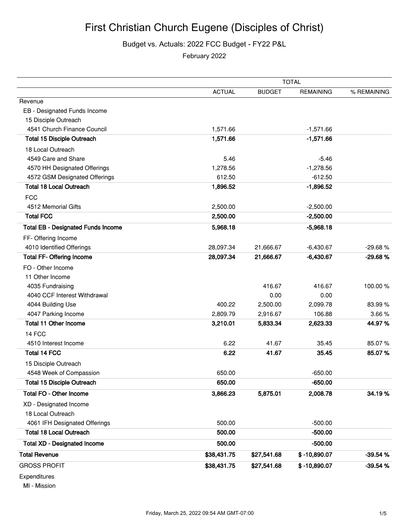## First Christian Church Eugene (Disciples of Christ)

Budget vs. Actuals: 2022 FCC Budget - FY22 P&L

February 2022

|                                           | <b>TOTAL</b>  |               |                  |             |
|-------------------------------------------|---------------|---------------|------------------|-------------|
|                                           | <b>ACTUAL</b> | <b>BUDGET</b> | <b>REMAINING</b> | % REMAINING |
| Revenue                                   |               |               |                  |             |
| EB - Designated Funds Income              |               |               |                  |             |
| 15 Disciple Outreach                      |               |               |                  |             |
| 4541 Church Finance Council               | 1,571.66      |               | $-1,571.66$      |             |
| <b>Total 15 Disciple Outreach</b>         | 1,571.66      |               | $-1,571.66$      |             |
| 18 Local Outreach                         |               |               |                  |             |
| 4549 Care and Share                       | 5.46          |               | $-5.46$          |             |
| 4570 HH Designated Offerings              | 1,278.56      |               | $-1,278.56$      |             |
| 4572 GSM Designated Offerings             | 612.50        |               | $-612.50$        |             |
| <b>Total 18 Local Outreach</b>            | 1,896.52      |               | $-1,896.52$      |             |
| <b>FCC</b>                                |               |               |                  |             |
| 4512 Memorial Gifts                       | 2,500.00      |               | $-2,500.00$      |             |
| <b>Total FCC</b>                          | 2,500.00      |               | $-2,500.00$      |             |
| <b>Total EB - Designated Funds Income</b> | 5,968.18      |               | $-5,968.18$      |             |
| FF- Offering Income                       |               |               |                  |             |
| 4010 Identified Offerings                 | 28,097.34     | 21,666.67     | $-6,430.67$      | $-29.68%$   |
| <b>Total FF- Offering Income</b>          | 28,097.34     | 21,666.67     | $-6,430.67$      | $-29.68%$   |
| FO - Other Income                         |               |               |                  |             |
| 11 Other Income                           |               |               |                  |             |
| 4035 Fundraising                          |               | 416.67        | 416.67           | 100.00%     |
| 4040 CCF Interest Withdrawal              |               | 0.00          | 0.00             |             |
| 4044 Building Use                         | 400.22        | 2,500.00      | 2,099.78         | 83.99%      |
| 4047 Parking Income                       | 2,809.79      | 2,916.67      | 106.88           | 3.66%       |
| <b>Total 11 Other Income</b>              | 3,210.01      | 5,833.34      | 2,623.33         | 44.97%      |
| 14 FCC                                    |               |               |                  |             |
| 4510 Interest Income                      | 6.22          | 41.67         | 35.45            | 85.07%      |
| Total 14 FCC                              | 6.22          | 41.67         | 35.45            | 85.07%      |
| 15 Disciple Outreach                      |               |               |                  |             |
| 4548 Week of Compassion                   | 650.00        |               | $-650.00$        |             |
| <b>Total 15 Disciple Outreach</b>         | 650.00        |               | $-650.00$        |             |
| Total FO - Other Income                   | 3,866.23      | 5,875.01      | 2,008.78         | 34.19%      |
| XD - Designated Income                    |               |               |                  |             |
| 18 Local Outreach                         |               |               |                  |             |
| 4061 IFH Designated Offerings             | 500.00        |               | $-500.00$        |             |
| <b>Total 18 Local Outreach</b>            | 500.00        |               | $-500.00$        |             |
| <b>Total XD - Designated Income</b>       | 500.00        |               | $-500.00$        |             |
| <b>Total Revenue</b>                      | \$38,431.75   | \$27,541.68   | \$-10,890.07     | $-39.54%$   |
| <b>GROSS PROFIT</b>                       | \$38,431.75   | \$27,541.68   | \$-10,890.07     | $-39.54%$   |
| Expenditures                              |               |               |                  |             |

MI - Mission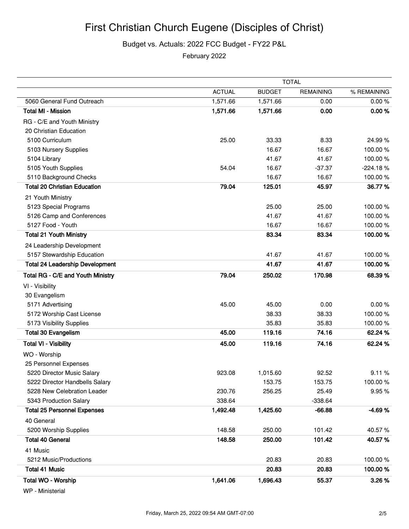Budget vs. Actuals: 2022 FCC Budget - FY22 P&L

February 2022

|                                        | <b>TOTAL</b>  |               |                  |             |
|----------------------------------------|---------------|---------------|------------------|-------------|
|                                        | <b>ACTUAL</b> | <b>BUDGET</b> | <b>REMAINING</b> | % REMAINING |
| 5060 General Fund Outreach             | 1,571.66      | 1,571.66      | 0.00             | 0.00%       |
| <b>Total MI - Mission</b>              | 1,571.66      | 1,571.66      | 0.00             | 0.00%       |
| RG - C/E and Youth Ministry            |               |               |                  |             |
| 20 Christian Education                 |               |               |                  |             |
| 5100 Curriculum                        | 25.00         | 33.33         | 8.33             | 24.99%      |
| 5103 Nursery Supplies                  |               | 16.67         | 16.67            | 100.00%     |
| 5104 Library                           |               | 41.67         | 41.67            | 100.00%     |
| 5105 Youth Supplies                    | 54.04         | 16.67         | $-37.37$         | $-224.18%$  |
| 5110 Background Checks                 |               | 16.67         | 16.67            | 100.00%     |
| <b>Total 20 Christian Education</b>    | 79.04         | 125.01        | 45.97            | 36.77%      |
| 21 Youth Ministry                      |               |               |                  |             |
| 5123 Special Programs                  |               | 25.00         | 25.00            | 100.00%     |
| 5126 Camp and Conferences              |               | 41.67         | 41.67            | 100.00%     |
| 5127 Food - Youth                      |               | 16.67         | 16.67            | 100.00%     |
| <b>Total 21 Youth Ministry</b>         |               | 83.34         | 83.34            | 100.00%     |
| 24 Leadership Development              |               |               |                  |             |
| 5157 Stewardship Education             |               | 41.67         | 41.67            | 100.00%     |
| <b>Total 24 Leadership Development</b> |               | 41.67         | 41.67            | 100.00%     |
| Total RG - C/E and Youth Ministry      | 79.04         | 250.02        | 170.98           | 68.39%      |
| VI - Visibility                        |               |               |                  |             |
| 30 Evangelism                          |               |               |                  |             |
| 5171 Advertising                       | 45.00         | 45.00         | 0.00             | 0.00%       |
| 5172 Worship Cast License              |               | 38.33         | 38.33            | 100.00%     |
| 5173 Visibility Supplies               |               | 35.83         | 35.83            | 100.00%     |
| <b>Total 30 Evangelism</b>             | 45.00         | 119.16        | 74.16            | 62.24 %     |
| <b>Total VI - Visibility</b>           | 45.00         | 119.16        | 74.16            | 62.24 %     |
| WO - Worship                           |               |               |                  |             |
| 25 Personnel Expenses                  |               |               |                  |             |
| 5220 Director Music Salary             | 923.08        | 1,015.60      | 92.52            | 9.11%       |
| 5222 Director Handbells Salary         |               | 153.75        | 153.75           | 100.00%     |
| 5228 New Celebration Leader            | 230.76        | 256.25        | 25.49            | 9.95%       |
| 5343 Production Salary                 | 338.64        |               | $-338.64$        |             |
| <b>Total 25 Personnel Expenses</b>     | 1,492.48      | 1,425.60      | $-66.88$         | $-4.69%$    |
| 40 General                             |               |               |                  |             |
| 5200 Worship Supplies                  | 148.58        | 250.00        | 101.42           | 40.57%      |
| <b>Total 40 General</b>                | 148.58        | 250.00        | 101.42           | 40.57%      |
| 41 Music                               |               |               |                  |             |
| 5212 Music/Productions                 |               | 20.83         | 20.83            | 100.00%     |
| <b>Total 41 Music</b>                  |               | 20.83         | 20.83            | 100.00%     |
| Total WO - Worship                     | 1,641.06      | 1,696.43      | 55.37            | 3.26%       |

WP - Ministerial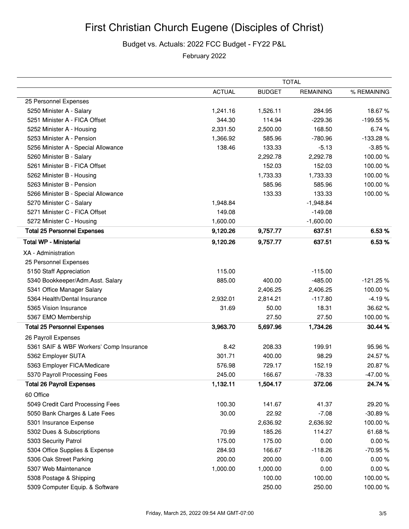## First Christian Church Eugene (Disciples of Christ)

## Budget vs. Actuals: 2022 FCC Budget - FY22 P&L

February 2022

|                                         | <b>TOTAL</b>  |               |                  |             |
|-----------------------------------------|---------------|---------------|------------------|-------------|
|                                         | <b>ACTUAL</b> | <b>BUDGET</b> | <b>REMAINING</b> | % REMAINING |
| 25 Personnel Expenses                   |               |               |                  |             |
| 5250 Minister A - Salary                | 1,241.16      | 1,526.11      | 284.95           | 18.67%      |
| 5251 Minister A - FICA Offset           | 344.30        | 114.94        | $-229.36$        | -199.55%    |
| 5252 Minister A - Housing               | 2,331.50      | 2,500.00      | 168.50           | 6.74%       |
| 5253 Minister A - Pension               | 1,366.92      | 585.96        | $-780.96$        | -133.28%    |
| 5256 Minister A - Special Allowance     | 138.46        | 133.33        | $-5.13$          | $-3.85%$    |
| 5260 Minister B - Salary                |               | 2,292.78      | 2,292.78         | 100.00%     |
| 5261 Minister B - FICA Offset           |               | 152.03        | 152.03           | 100.00%     |
| 5262 Minister B - Housing               |               | 1,733.33      | 1,733.33         | 100.00%     |
| 5263 Minister B - Pension               |               | 585.96        | 585.96           | 100.00%     |
| 5266 Minister B - Special Allowance     |               | 133.33        | 133.33           | 100.00%     |
| 5270 Minister C - Salary                | 1,948.84      |               | $-1,948.84$      |             |
| 5271 Minister C - FICA Offset           | 149.08        |               | $-149.08$        |             |
| 5272 Minister C - Housing               | 1,600.00      |               | $-1,600.00$      |             |
| <b>Total 25 Personnel Expenses</b>      | 9,120.26      | 9,757.77      | 637.51           | 6.53 %      |
| <b>Total WP - Ministerial</b>           | 9,120.26      | 9,757.77      | 637.51           | 6.53%       |
| XA - Administration                     |               |               |                  |             |
| 25 Personnel Expenses                   |               |               |                  |             |
| 5150 Staff Appreciation                 | 115.00        |               | $-115.00$        |             |
| 5340 Bookkeeper/Adm.Asst. Salary        | 885.00        | 400.00        | $-485.00$        | $-121.25%$  |
| 5341 Office Manager Salary              |               | 2,406.25      | 2,406.25         | 100.00%     |
| 5364 Health/Dental Insurance            | 2,932.01      | 2,814.21      | $-117.80$        | $-4.19%$    |
| 5365 Vision Insurance                   | 31.69         | 50.00         | 18.31            | 36.62%      |
| 5367 EMO Membership                     |               | 27.50         | 27.50            | 100.00%     |
| <b>Total 25 Personnel Expenses</b>      | 3,963.70      | 5,697.96      | 1,734.26         | 30.44 %     |
| 26 Payroll Expenses                     |               |               |                  |             |
| 5361 SAIF & WBF Workers' Comp Insurance | 8.42          | 208.33        | 199.91           | 95.96%      |
| 5362 Employer SUTA                      | 301.71        | 400.00        | 98.29            | 24.57%      |
| 5363 Employer FICA/Medicare             | 576.98        | 729.17        | 152.19           | 20.87%      |
| 5370 Payroll Processing Fees            | 245.00        | 166.67        | $-78.33$         | -47.00%     |
| <b>Total 26 Payroll Expenses</b>        | 1,132.11      | 1,504.17      | 372.06           | 24.74 %     |
| 60 Office                               |               |               |                  |             |
| 5049 Credit Card Processing Fees        | 100.30        | 141.67        | 41.37            | 29.20%      |
| 5050 Bank Charges & Late Fees           | 30.00         | 22.92         | $-7.08$          | $-30.89%$   |
| 5301 Insurance Expense                  |               | 2,636.92      | 2,636.92         | 100.00%     |
| 5302 Dues & Subscriptions               | 70.99         | 185.26        | 114.27           | 61.68%      |
| 5303 Security Patrol                    | 175.00        | 175.00        | 0.00             | 0.00%       |
| 5304 Office Supplies & Expense          | 284.93        | 166.67        | $-118.26$        | -70.95%     |
| 5306 Oak Street Parking                 | 200.00        | 200.00        | 0.00             | 0.00%       |
| 5307 Web Maintenance                    | 1,000.00      | 1,000.00      | 0.00             | 0.00%       |
| 5308 Postage & Shipping                 |               | 100.00        | 100.00           | 100.00%     |
| 5309 Computer Equip. & Software         |               | 250.00        | 250.00           | 100.00%     |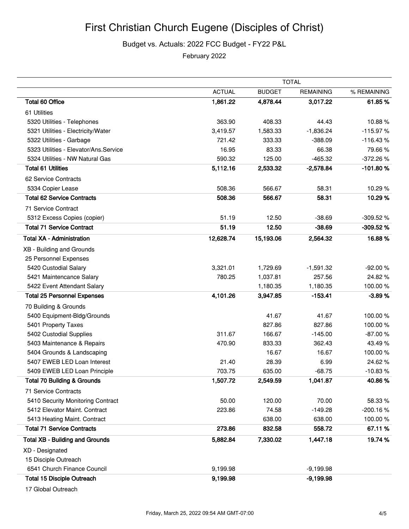Budget vs. Actuals: 2022 FCC Budget - FY22 P&L

February 2022

|                                        | <b>TOTAL</b>  |               |                  |             |
|----------------------------------------|---------------|---------------|------------------|-------------|
|                                        | <b>ACTUAL</b> | <b>BUDGET</b> | <b>REMAINING</b> | % REMAINING |
| <b>Total 60 Office</b>                 | 1,861.22      | 4,878.44      | 3,017.22         | 61.85%      |
| 61 Utilities                           |               |               |                  |             |
| 5320 Utilities - Telephones            | 363.90        | 408.33        | 44.43            | 10.88%      |
| 5321 Utilities - Electricity/Water     | 3,419.57      | 1,583.33      | $-1,836.24$      | $-115.97%$  |
| 5322 Utilities - Garbage               | 721.42        | 333.33        | $-388.09$        | $-116.43%$  |
| 5323 Utilities - Elevator/Ans.Service  | 16.95         | 83.33         | 66.38            | 79.66%      |
| 5324 Utilities - NW Natural Gas        | 590.32        | 125.00        | $-465.32$        | -372.26%    |
| <b>Total 61 Utilities</b>              | 5,112.16      | 2,533.32      | $-2,578.84$      | $-101.80%$  |
| 62 Service Contracts                   |               |               |                  |             |
| 5334 Copier Lease                      | 508.36        | 566.67        | 58.31            | 10.29%      |
| <b>Total 62 Service Contracts</b>      | 508.36        | 566.67        | 58.31            | 10.29%      |
| 71 Service Contract                    |               |               |                  |             |
| 5312 Excess Copies (copier)            | 51.19         | 12.50         | $-38.69$         | -309.52 %   |
| <b>Total 71 Service Contract</b>       | 51.19         | 12.50         | $-38.69$         | $-309.52%$  |
| <b>Total XA - Administration</b>       | 12,628.74     | 15,193.06     | 2,564.32         | 16.88%      |
| XB - Building and Grounds              |               |               |                  |             |
| 25 Personnel Expenses                  |               |               |                  |             |
| 5420 Custodial Salary                  | 3,321.01      | 1,729.69      | $-1,591.32$      | $-92.00%$   |
| 5421 Maintencance Salary               | 780.25        | 1,037.81      | 257.56           | 24.82%      |
| 5422 Event Attendant Salary            |               | 1,180.35      | 1,180.35         | 100.00%     |
| <b>Total 25 Personnel Expenses</b>     | 4,101.26      | 3,947.85      | $-153.41$        | $-3.89%$    |
| 70 Building & Grounds                  |               |               |                  |             |
| 5400 Equipment-Bldg/Grounds            |               | 41.67         | 41.67            | 100.00%     |
| 5401 Property Taxes                    |               | 827.86        | 827.86           | 100.00%     |
| 5402 Custodial Supplies                | 311.67        | 166.67        | $-145.00$        | $-87.00%$   |
| 5403 Maintenance & Repairs             | 470.90        | 833.33        | 362.43           | 43.49%      |
| 5404 Grounds & Landscaping             |               | 16.67         | 16.67            | 100.00%     |
| 5407 EWEB LED Loan Interest            | 21.40         | 28.39         | 6.99             | 24.62%      |
| 5409 EWEB LED Loan Principle           | 703.75        | 635.00        | $-68.75$         | $-10.83%$   |
| <b>Total 70 Building &amp; Grounds</b> | 1,507.72      | 2,549.59      | 1,041.87         | 40.86%      |
| 71 Service Contracts                   |               |               |                  |             |
| 5410 Security Monitoring Contract      | 50.00         | 120.00        | 70.00            | 58.33%      |
| 5412 Elevator Maint. Contract          | 223.86        | 74.58         | $-149.28$        | $-200.16%$  |
| 5413 Heating Maint. Contract           |               | 638.00        | 638.00           | 100.00%     |
| <b>Total 71 Service Contracts</b>      | 273.86        | 832.58        | 558.72           | 67.11 %     |
| <b>Total XB - Building and Grounds</b> | 5,882.84      | 7,330.02      | 1,447.18         | 19.74%      |
| XD - Designated                        |               |               |                  |             |
| 15 Disciple Outreach                   |               |               |                  |             |
| 6541 Church Finance Council            | 9,199.98      |               | $-9,199.98$      |             |
| <b>Total 15 Disciple Outreach</b>      | 9,199.98      |               | $-9,199.98$      |             |

17 Global Outreach